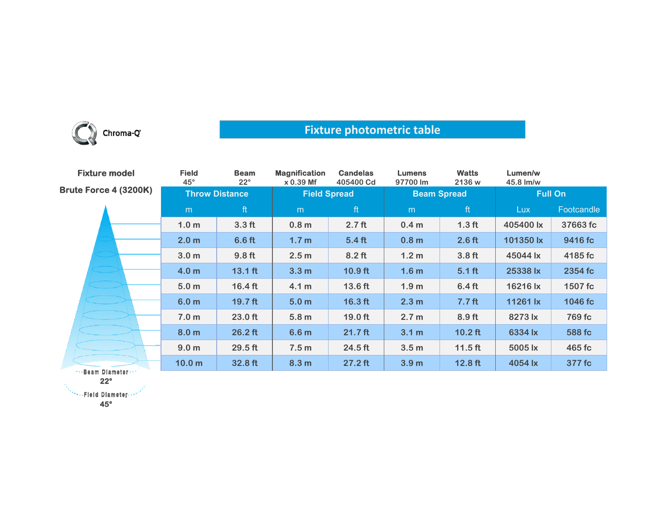

## **Fixture photometric table**

| <b>Fixture model</b>         | <b>Field</b><br>$45^\circ$ | <b>Beam</b><br>$22^{\circ}$ | <b>Magnification</b><br>x 0.39 Mf | <b>Candelas</b><br>405400 Cd | <b>Lumens</b><br>97700 lm | <b>Watts</b><br>2136 w | Lumen/w<br>45.8 lm/w |            |
|------------------------------|----------------------------|-----------------------------|-----------------------------------|------------------------------|---------------------------|------------------------|----------------------|------------|
| <b>Brute Force 4 (3200K)</b> | <b>Throw Distance</b>      |                             | <b>Field Spread</b>               |                              | <b>Beam Spread</b>        |                        | <b>Full On</b>       |            |
|                              | m                          | ft                          | m                                 | ft                           | m                         | ft                     | <b>Lux</b>           | Footcandle |
|                              | 1.0 <sub>m</sub>           | 3.3 <sub>ft</sub>           | 0.8 <sub>m</sub>                  | 2.7 <sub>ft</sub>            | 0.4 <sub>m</sub>          | 1.3 <sub>ft</sub>      | 405400 lx            | 37663 fc   |
|                              | 2.0 <sub>m</sub>           | 6.6 <sub>ft</sub>           | 1.7 <sub>m</sub>                  | 5.4 <sub>ft</sub>            | 0.8 <sub>m</sub>          | 2.6 <sub>ft</sub>      | 101350 lx            | 9416 fc    |
|                              | 3.0 <sub>m</sub>           | 9.8 <sub>ft</sub>           | 2.5 <sub>m</sub>                  | $8.2$ ft                     | 1.2 <sub>m</sub>          | 3.8 <sub>ft</sub>      | 45044 lx             | 4185 fc    |
|                              | 4.0 <sub>m</sub>           | $13.1$ ft                   | 3.3 <sub>m</sub>                  | $10.9$ ft                    | 1.6 <sub>m</sub>          | $5.1$ ft               | 25338 lx             | 2354 fc    |
|                              | 5.0 <sub>m</sub>           | $16.4$ ft                   | 4.1 m                             | 13.6 ft                      | 1.9 <sub>m</sub>          | 6.4 <sub>ft</sub>      | 16216 lx             | 1507 fc    |
|                              | 6.0 <sub>m</sub>           | $19.7$ ft                   | 5.0 <sub>m</sub>                  | $16.3$ ft                    | 2.3 <sub>m</sub>          | 7.7 <sub>ft</sub>      | 11261 lx             | 1046 fc    |
|                              | 7.0 <sub>m</sub>           | $23.0$ ft                   | 5.8 <sub>m</sub>                  | 19.0 ft                      | 2.7 <sub>m</sub>          | 8.9 <sub>ft</sub>      | 8273 lx              | 769 fc     |
|                              | 8.0 <sub>m</sub>           | $26.2$ ft                   | 6.6 <sub>m</sub>                  | $21.7$ ft                    | 3.1 m                     | $10.2$ ft              | 6334 lx              | 588 fc     |
|                              | 9.0 <sub>m</sub>           | $29.5$ ft                   | 7.5 <sub>m</sub>                  | $24.5$ ft                    | 3.5 <sub>m</sub>          | $11.5$ ft              | 5005 lx              | 465 fc     |
| Boom Blometon                | 10.0 <sub>m</sub>          | 32.8 ft                     | 8.3 <sub>m</sub>                  | $27.2$ ft                    | 3.9 <sub>m</sub>          | $12.8$ ft              | 4054 lx              | 377 fc     |

-Beam Diameter **22°**

**NewsPield Diameter** 

**45°**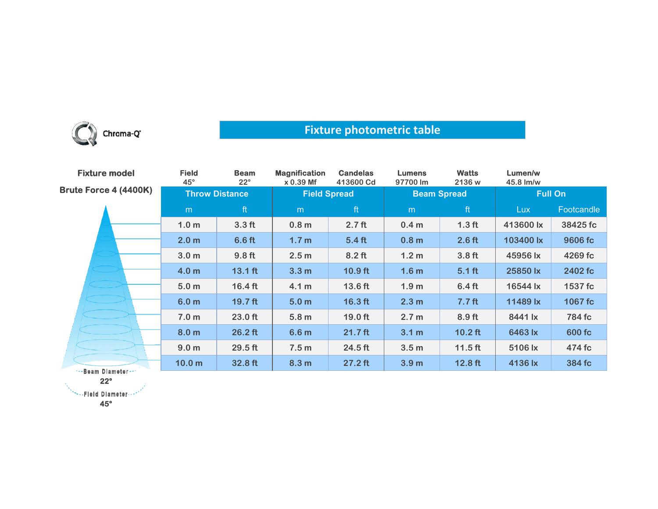

## **Fixture photometric table**

| <b>Fixture model</b>  | <b>Field</b><br>$45^{\circ}$ | <b>Beam</b><br>$22^{\circ}$ | <b>Magnification</b><br>$x 0.39$ Mf | <b>Candelas</b><br>413600 Cd | <b>Lumens</b><br>97700 lm | <b>Watts</b><br>2136 w | Lumen/w<br>45.8 lm/w |            |
|-----------------------|------------------------------|-----------------------------|-------------------------------------|------------------------------|---------------------------|------------------------|----------------------|------------|
| Brute Force 4 (4400K) | <b>Throw Distance</b>        |                             | <b>Field Spread</b>                 |                              | <b>Beam Spread</b>        |                        | <b>Full On</b>       |            |
|                       | m                            | ft                          | m                                   | ft                           | m                         | ft                     | <b>Lux</b>           | Footcandle |
|                       | 1.0 <sub>m</sub>             | 3.3 <sub>ft</sub>           | 0.8 <sub>m</sub>                    | 2.7 <sub>ft</sub>            | 0.4 <sub>m</sub>          | 1.3 <sub>ft</sub>      | 413600 lx            | 38425 fc   |
|                       | 2.0 <sub>m</sub>             | 6.6 <sub>ft</sub>           | 1.7 <sub>m</sub>                    | 5.4 <sub>ft</sub>            | 0.8 <sub>m</sub>          | 2.6 <sub>ft</sub>      | 103400 lx            | 9606 fc    |
|                       | 3.0 <sub>m</sub>             | 9.8 <sub>ft</sub>           | 2.5 <sub>m</sub>                    | $8.2$ ft                     | 1.2 <sub>m</sub>          | 3.8 <sub>ft</sub>      | 45956 lx             | 4269 fc    |
|                       | 4.0 <sub>m</sub>             | $13.1$ ft                   | 3.3 <sub>m</sub>                    | $10.9$ ft                    | 1.6 <sub>m</sub>          | $5.1$ ft               | 25850 lx             | 2402 fc    |
|                       | 5.0 <sub>m</sub>             | $16.4$ ft                   | 4.1 <sub>m</sub>                    | 13.6 ft                      | 1.9 <sub>m</sub>          | 6.4 <sub>ft</sub>      | 16544 lx             | 1537 fc    |
|                       | 6.0 <sub>m</sub>             | 19.7 ft                     | 5.0 <sub>m</sub>                    | $16.3$ ft                    | 2.3 <sub>m</sub>          | 7.7 <sub>ft</sub>      | 11489 lx             | 1067 fc    |
|                       | 7.0 <sub>m</sub>             | $23.0$ ft                   | 5.8 <sub>m</sub>                    | 19.0 ft                      | 2.7 <sub>m</sub>          | $8.9$ ft               | 8441 lx              | 784 fc     |
|                       | 8.0 <sub>m</sub>             | $26.2$ ft                   | 6.6 <sub>m</sub>                    | $21.7$ ft                    | 3.1 <sub>m</sub>          | $10.2$ ft              | 6463 lx              | 600 fc     |
|                       | 9.0 <sub>m</sub>             | $29.5$ ft                   | 7.5 <sub>m</sub>                    | $24.5$ ft                    | 3.5 <sub>m</sub>          | $11.5$ ft              | 5106 lx              | 474 fc     |
|                       | 10.0 <sub>m</sub>            | 32.8 ft                     | 8.3 <sub>m</sub>                    | $27.2$ ft                    | 3.9 <sub>m</sub>          | $12.8$ ft              | 4136 lx              | 384 fc     |
| **-Beam Diameter --*  |                              |                             |                                     |                              |                           |                        |                      |            |

**22°**

\*\*\*\*\*Fleid Diameter ...\*

**45°**